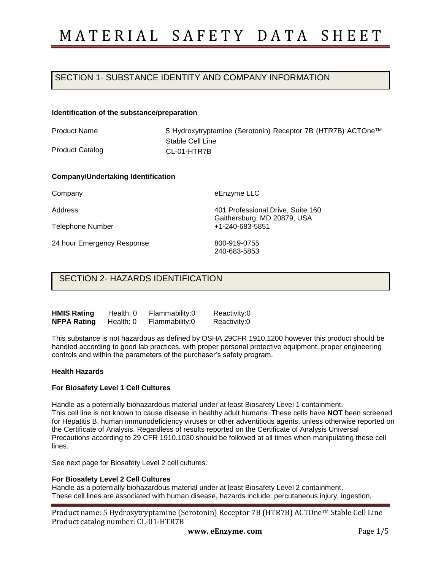# SECTION 1- SUBSTANCE IDENTITY AND COMPANY INFORMATION

#### **Identification of the substance/preparation**

Product Name

Product Catalog

5 Hydroxytryptamine (Serotonin) Receptor 7B (HTR7B) ACTOneTM Stable Cell Line CL-01-HTR7B

### **Company/Undertaking Identification**

Company

Address

Telephone Number

24 hour Emergency Response

eEnzyme LLC

401 Professional Drive, Suite 160 Gaithersburg, MD 20879, USA +1-240-683-5851

800-919-0755 240-683-5853

## SECTION 2- HAZARDS IDENTIFICATION

| <b>HMIS Rating</b> | Health: 0 | Flammability:0 | Reactivity:0 |
|--------------------|-----------|----------------|--------------|
| <b>NFPA Rating</b> | Health: 0 | Flammability:0 | Reactivity:0 |

This substance is not hazardous as defined by OSHA 29CFR 1910.1200 however this product should be handled according to good lab practices, with proper personal protective equipment, proper engineering controls and within the parameters of the purchaser's safety program.

### **Health Hazards**

### **For Biosafety Level 1 Cell Cultures**

Handle as a potentially biohazardous material under at least Biosafety Level 1 containment. This cell line is not known to cause disease in healthy adult humans. These cells have **NOT** been screened for Hepatitis B, human immunodeficiency viruses or other adventitious agents, unless otherwise reported on the Certificate of Analysis. Regardless of results reported on the Certificate of Analysis Universal Precautions according to 29 CFR 1910.1030 should be followed at all times when manipulating these cell lines.

See next page for Biosafety Level 2 cell cultures.

### **For Biosafety Level 2 Cell Cultures**

Handle as a potentially biohazardous material under at least Biosafety Level 2 containment. These cell lines are associated with human disease, hazards include: percutaneous injury, ingestion,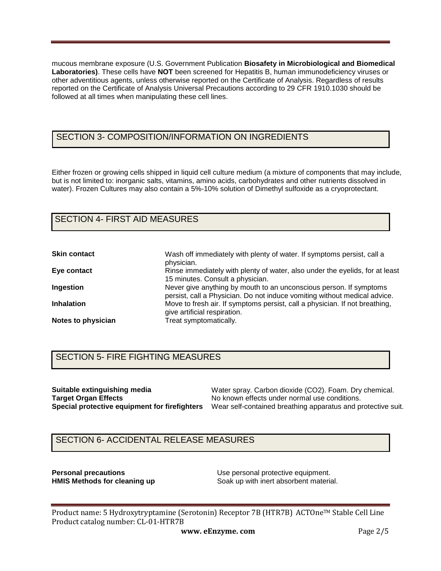mucous membrane exposure (U.S. Government Publication **Biosafety in Microbiological and Biomedical Laboratories)**. These cells have **NOT** been screened for Hepatitis B, human immunodeficiency viruses or other adventitious agents, unless otherwise reported on the Certificate of Analysis. Regardless of results reported on the Certificate of Analysis Universal Precautions according to 29 CFR 1910.1030 should be followed at all times when manipulating these cell lines.

## SECTION 3- COMPOSITION/INFORMATION ON INGREDIENTS

Either frozen or growing cells shipped in liquid cell culture medium (a mixture of components that may include, but is not limited to: inorganic salts, vitamins, amino acids, carbohydrates and other nutrients dissolved in water). Frozen Cultures may also contain a 5%-10% solution of Dimethyl sulfoxide as a cryoprotectant.

# SECTION 4- FIRST AID MEASURES

| <b>Skin contact</b> | Wash off immediately with plenty of water. If symptoms persist, call a<br>physician.                                                            |
|---------------------|-------------------------------------------------------------------------------------------------------------------------------------------------|
| Eye contact         | Rinse immediately with plenty of water, also under the eyelids, for at least<br>15 minutes. Consult a physician.                                |
| Ingestion           | Never give anything by mouth to an unconscious person. If symptoms<br>persist, call a Physician. Do not induce vomiting without medical advice. |
| <b>Inhalation</b>   | Move to fresh air. If symptoms persist, call a physician. If not breathing,<br>give artificial respiration.                                     |
| Notes to physician  | Treat symptomatically.                                                                                                                          |

## SECTION 5- FIRE FIGHTING MEASURES

**Suitable extinguishing media Target Organ Effects**

**Special protective equipment for firefighters**  Wear self-contained breathing apparatus and protective suit. Water spray. Carbon dioxide (CO2). Foam. Dry chemical. No known effects under normal use conditions.

### SECTION 6- ACCIDENTAL RELEASE MEASURES

**Personal precautions Example 20 Use personal protective equipment. HMIS Methods for cleaning up <b>S**oak up with inert absorbent material.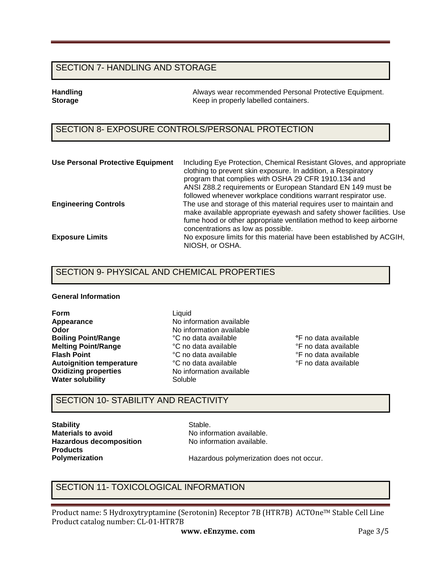### SECTION 7- HANDLING AND STORAGE

**Handling Tandling 1986** Always wear recommended Personal Protective Equipment.<br> **Storage** The Reep in properly labelled containers. **Storage** Keep in properly labelled containers.

## SECTION 8- EXPOSURE CONTROLS/PERSONAL PROTECTION

| <b>Use Personal Protective Equipment</b> | Including Eye Protection, Chemical Resistant Gloves, and appropriate<br>clothing to prevent skin exposure. In addition, a Respiratory<br>program that complies with OSHA 29 CFR 1910.134 and<br>ANSI Z88.2 requirements or European Standard EN 149 must be<br>followed whenever workplace conditions warrant respirator use. |
|------------------------------------------|-------------------------------------------------------------------------------------------------------------------------------------------------------------------------------------------------------------------------------------------------------------------------------------------------------------------------------|
| <b>Engineering Controls</b>              | The use and storage of this material requires user to maintain and<br>make available appropriate eyewash and safety shower facilities. Use<br>fume hood or other appropriate ventilation method to keep airborne<br>concentrations as low as possible.                                                                        |
| <b>Exposure Limits</b>                   | No exposure limits for this material have been established by ACGIH,<br>NIOSH, or OSHA.                                                                                                                                                                                                                                       |

### SECTION 9- PHYSICAL AND CHEMICAL PROPERTIES

### **General Information**

**Form Appearance Odor Boiling Point/Range Melting Point/Range Flash Point Autoignition temperature Oxidizing properties Water solubility**

Liquid No information available No information available °C no data available °C no data available °C no data available °C no data available No information available Soluble

**°**F no data available °F no data available °F no data available °F no data available

### SECTION 10- STABILITY AND REACTIVITY

**Stability Materials to avoid Hazardous decomposition Products Polymerization** 

Stable. No information available. No information available.

Hazardous polymerization does not occur.

## SECTION 11- TOXICOLOGICAL INFORMATION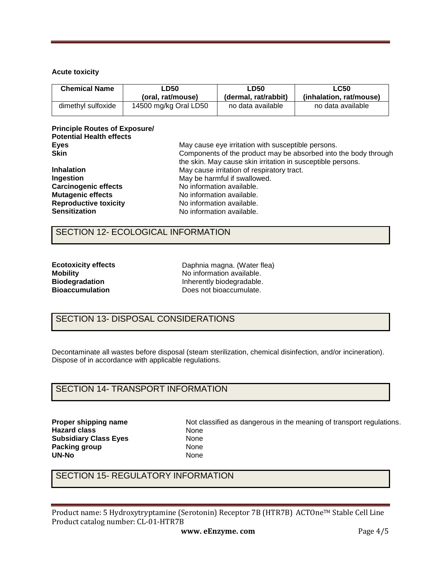### **Acute toxicity**

| <b>Chemical Name</b> | ∟D50                  | <b>LD50</b>          | LC50                    |  |
|----------------------|-----------------------|----------------------|-------------------------|--|
|                      | (oral. rat/mouse)     | (dermal, rat/rabbit) | (inhalation. rat/mouse) |  |
| dimethyl sulfoxide   | 14500 mg/kg Oral LD50 | no data available    | no data available       |  |

### **Principle Routes of Exposure/ Potential Health effects Eyes Skin**

| <b>Skin</b>                  | Components of the product may be absorbed into the body through |
|------------------------------|-----------------------------------------------------------------|
|                              | the skin. May cause skin irritation in susceptible persons.     |
| <b>Inhalation</b>            | May cause irritation of respiratory tract.                      |
| Ingestion                    | May be harmful if swallowed.                                    |
| <b>Carcinogenic effects</b>  | No information available.                                       |
| <b>Mutagenic effects</b>     | No information available.                                       |
| <b>Reproductive toxicity</b> | No information available.                                       |
| <b>Sensitization</b>         | No information available.                                       |
|                              |                                                                 |

May cause eye irritation with susceptible persons.

### SECTION 12- ECOLOGICAL INFORMATION

| <b>Ecotoxicity effects</b> |
|----------------------------|
| <b>Mobility</b>            |
| <b>Biodegradation</b>      |
| <b>Bioaccumulation</b>     |

Daphnia magna. (Water flea) No information available. Inherently biodegradable. Does not bioaccumulate.

# SECTION 13- DISPOSAL CONSIDERATIONS

Decontaminate all wastes before disposal (steam sterilization, chemical disinfection, and/or incineration). Dispose of in accordance with applicable regulations.

## SECTION 14- TRANSPORT INFORMATION

**Proper shipping name Hazard class Subsidiary Class Eyes Packing group UN-No** 

Not classified as dangerous in the meaning of transport regulations. None None None None

## SECTION 15- REGULATORY INFORMATION